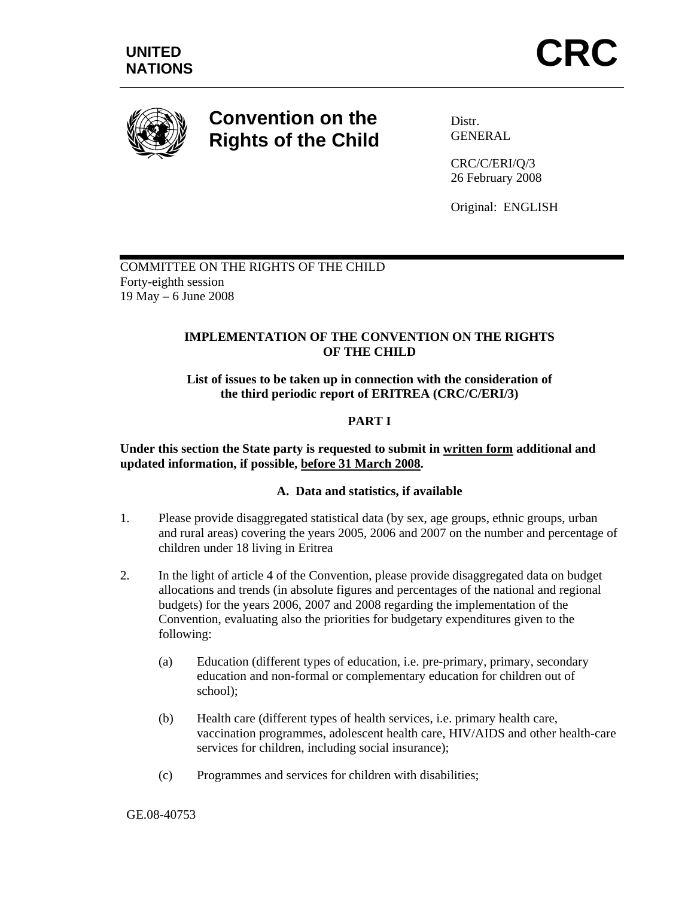

# **Convention on the Rights of the Child**

Distr. GENERAL

CRC/C/ERI/Q/3 26 February 2008

Original: ENGLISH

COMMITTEE ON THE RIGHTS OF THE CHILD Forty-eighth session 19 May – 6 June 2008

# **IMPLEMENTATION OF THE CONVENTION ON THE RIGHTS OF THE CHILD**

**List of issues to be taken up in connection with the consideration of the third periodic report of ERITREA (CRC/C/ERI/3)** 

# **PART I**

**Under this section the State party is requested to submit in written form additional and updated information, if possible, before 31 March 2008.** 

## **A. Data and statistics, if available**

- 1. Please provide disaggregated statistical data (by sex, age groups, ethnic groups, urban and rural areas) covering the years 2005, 2006 and 2007 on the number and percentage of children under 18 living in Eritrea
- 2. In the light of article 4 of the Convention, please provide disaggregated data on budget allocations and trends (in absolute figures and percentages of the national and regional budgets) for the years 2006, 2007 and 2008 regarding the implementation of the Convention, evaluating also the priorities for budgetary expenditures given to the following:
	- (a) Education (different types of education, i.e. pre-primary, primary, secondary education and non-formal or complementary education for children out of school);
	- (b) Health care (different types of health services, i.e. primary health care, vaccination programmes, adolescent health care, HIV/AIDS and other health-care services for children, including social insurance);
	- (c) Programmes and services for children with disabilities;

#### GE.08-40753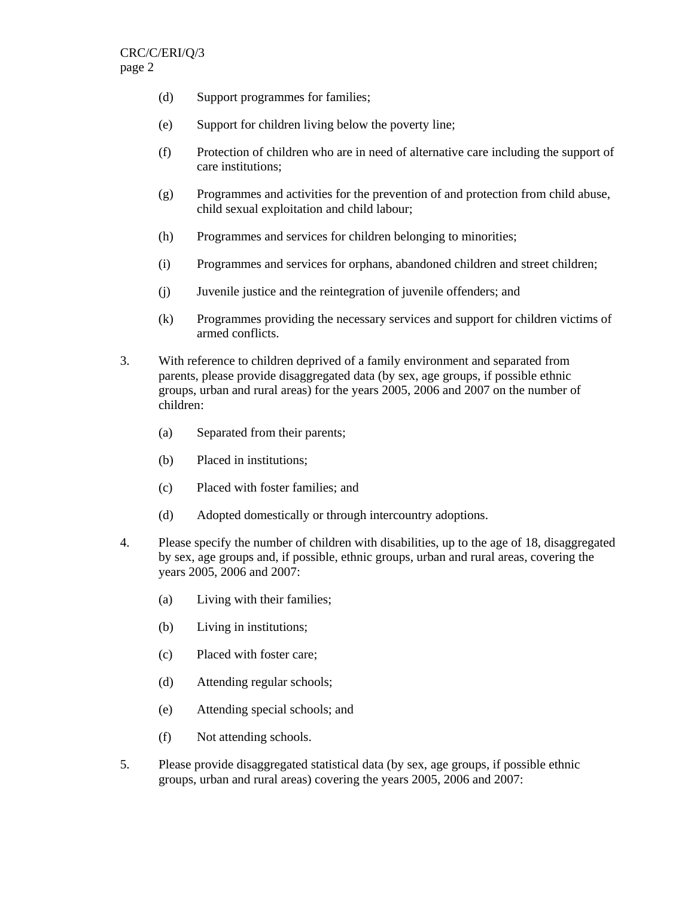- (d) Support programmes for families;
- (e) Support for children living below the poverty line;
- (f) Protection of children who are in need of alternative care including the support of care institutions;
- (g) Programmes and activities for the prevention of and protection from child abuse, child sexual exploitation and child labour;
- (h) Programmes and services for children belonging to minorities;
- (i) Programmes and services for orphans, abandoned children and street children;
- (j) Juvenile justice and the reintegration of juvenile offenders; and
- (k) Programmes providing the necessary services and support for children victims of armed conflicts.
- 3. With reference to children deprived of a family environment and separated from parents, please provide disaggregated data (by sex, age groups, if possible ethnic groups, urban and rural areas) for the years 2005, 2006 and 2007 on the number of children:
	- (a) Separated from their parents;
	- (b) Placed in institutions;
	- (c) Placed with foster families; and
	- (d) Adopted domestically or through intercountry adoptions.
- 4. Please specify the number of children with disabilities, up to the age of 18, disaggregated by sex, age groups and, if possible, ethnic groups, urban and rural areas, covering the years 2005, 2006 and 2007:
	- (a) Living with their families;
	- (b) Living in institutions;
	- (c) Placed with foster care;
	- (d) Attending regular schools;
	- (e) Attending special schools; and
	- (f) Not attending schools.
- 5. Please provide disaggregated statistical data (by sex, age groups, if possible ethnic groups, urban and rural areas) covering the years 2005, 2006 and 2007: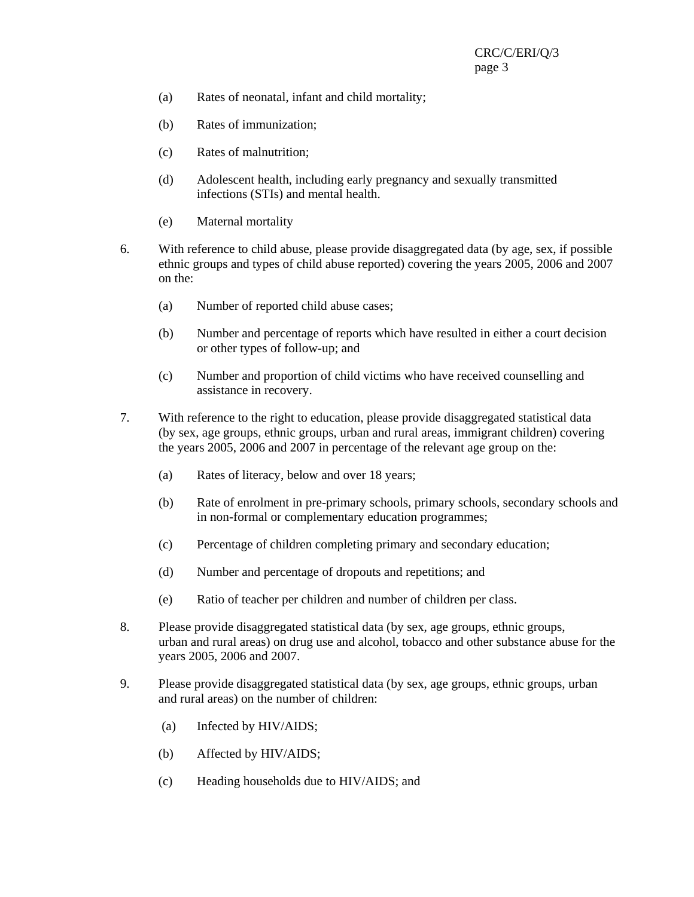- (a) Rates of neonatal, infant and child mortality;
- (b) Rates of immunization;
- (c) Rates of malnutrition;
- (d) Adolescent health, including early pregnancy and sexually transmitted infections (STIs) and mental health.
- (e) Maternal mortality
- 6. With reference to child abuse, please provide disaggregated data (by age, sex, if possible ethnic groups and types of child abuse reported) covering the years 2005, 2006 and 2007 on the:
	- (a) Number of reported child abuse cases;
	- (b) Number and percentage of reports which have resulted in either a court decision or other types of follow-up; and
	- (c) Number and proportion of child victims who have received counselling and assistance in recovery.
- 7. With reference to the right to education, please provide disaggregated statistical data (by sex, age groups, ethnic groups, urban and rural areas, immigrant children) covering the years 2005, 2006 and 2007 in percentage of the relevant age group on the:
	- (a) Rates of literacy, below and over 18 years;
	- (b) Rate of enrolment in pre-primary schools, primary schools, secondary schools and in non-formal or complementary education programmes;
	- (c) Percentage of children completing primary and secondary education;
	- (d) Number and percentage of dropouts and repetitions; and
	- (e) Ratio of teacher per children and number of children per class.
- 8. Please provide disaggregated statistical data (by sex, age groups, ethnic groups, urban and rural areas) on drug use and alcohol, tobacco and other substance abuse for the years 2005, 2006 and 2007.
- 9. Please provide disaggregated statistical data (by sex, age groups, ethnic groups, urban and rural areas) on the number of children:
	- (a) Infected by HIV/AIDS;
	- (b) Affected by HIV/AIDS;
	- (c) Heading households due to HIV/AIDS; and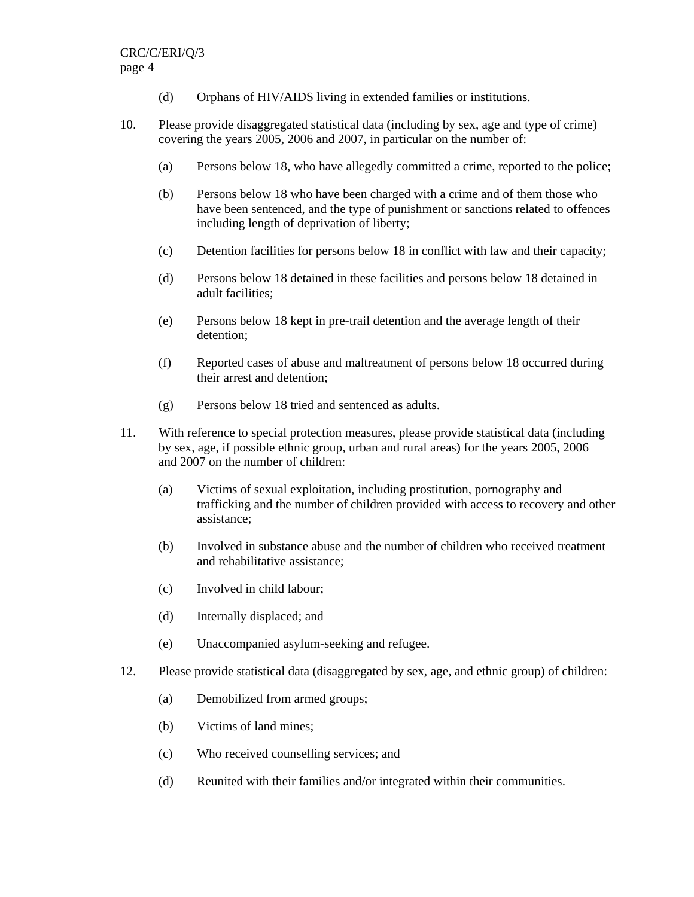- (d) Orphans of HIV/AIDS living in extended families or institutions.
- 10. Please provide disaggregated statistical data (including by sex, age and type of crime) covering the years 2005, 2006 and 2007, in particular on the number of:
	- (a) Persons below 18, who have allegedly committed a crime, reported to the police;
	- (b) Persons below 18 who have been charged with a crime and of them those who have been sentenced, and the type of punishment or sanctions related to offences including length of deprivation of liberty;
	- (c) Detention facilities for persons below 18 in conflict with law and their capacity;
	- (d) Persons below 18 detained in these facilities and persons below 18 detained in adult facilities;
	- (e) Persons below 18 kept in pre-trail detention and the average length of their detention;
	- (f) Reported cases of abuse and maltreatment of persons below 18 occurred during their arrest and detention;
	- (g) Persons below 18 tried and sentenced as adults.
- 11. With reference to special protection measures, please provide statistical data (including by sex, age, if possible ethnic group, urban and rural areas) for the years 2005, 2006 and 2007 on the number of children:
	- (a) Victims of sexual exploitation, including prostitution, pornography and trafficking and the number of children provided with access to recovery and other assistance;
	- (b) Involved in substance abuse and the number of children who received treatment and rehabilitative assistance;
	- (c) Involved in child labour;
	- (d) Internally displaced; and
	- (e) Unaccompanied asylum-seeking and refugee.
- 12. Please provide statistical data (disaggregated by sex, age, and ethnic group) of children:
	- (a) Demobilized from armed groups;
	- (b) Victims of land mines;
	- (c) Who received counselling services; and
	- (d) Reunited with their families and/or integrated within their communities.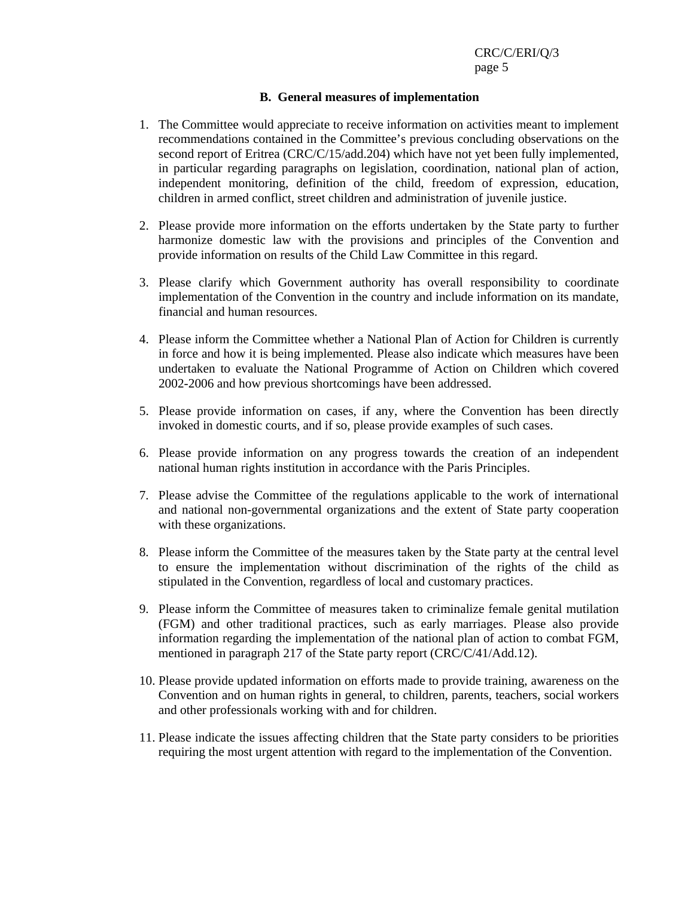## **B. General measures of implementation**

- 1. The Committee would appreciate to receive information on activities meant to implement recommendations contained in the Committee's previous concluding observations on the second report of Eritrea (CRC/C/15/add.204) which have not yet been fully implemented, in particular regarding paragraphs on legislation, coordination, national plan of action, independent monitoring, definition of the child, freedom of expression*,* education, children in armed conflict, street children and administration of juvenile justice.
- 2. Please provide more information on the efforts undertaken by the State party to further harmonize domestic law with the provisions and principles of the Convention and provide information on results of the Child Law Committee in this regard.
- 3. Please clarify which Government authority has overall responsibility to coordinate implementation of the Convention in the country and include information on its mandate, financial and human resources.
- 4. Please inform the Committee whether a National Plan of Action for Children is currently in force and how it is being implemented. Please also indicate which measures have been undertaken to evaluate the National Programme of Action on Children which covered 2002-2006 and how previous shortcomings have been addressed.
- 5. Please provide information on cases, if any, where the Convention has been directly invoked in domestic courts, and if so, please provide examples of such cases.
- 6. Please provide information on any progress towards the creation of an independent national human rights institution in accordance with the Paris Principles.
- 7. Please advise the Committee of the regulations applicable to the work of international and national non-governmental organizations and the extent of State party cooperation with these organizations.
- 8. Please inform the Committee of the measures taken by the State party at the central level to ensure the implementation without discrimination of the rights of the child as stipulated in the Convention, regardless of local and customary practices.
- 9. Please inform the Committee of measures taken to criminalize female genital mutilation (FGM) and other traditional practices, such as early marriages. Please also provide information regarding the implementation of the national plan of action to combat FGM, mentioned in paragraph 217 of the State party report (CRC/C/41/Add.12).
- 10. Please provide updated information on efforts made to provide training, awareness on the Convention and on human rights in general, to children, parents, teachers, social workers and other professionals working with and for children.
- 11. Please indicate the issues affecting children that the State party considers to be priorities requiring the most urgent attention with regard to the implementation of the Convention.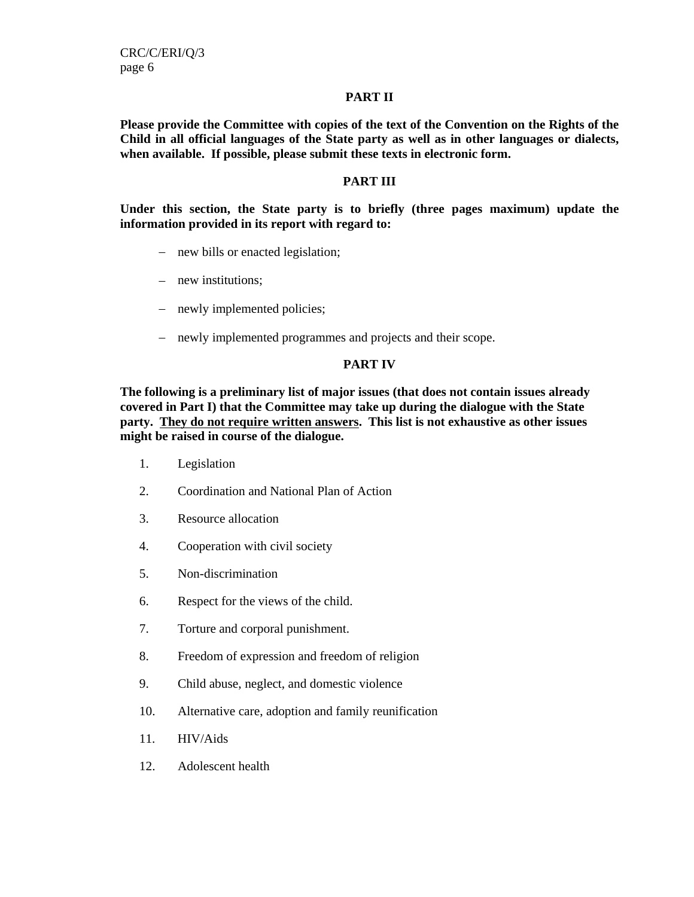CRC/C/ERI/Q/3 page 6

## **PART II**

**Please provide the Committee with copies of the text of the Convention on the Rights of the Child in all official languages of the State party as well as in other languages or dialects, when available. If possible, please submit these texts in electronic form.** 

## **PART III**

**Under this section, the State party is to briefly (three pages maximum) update the information provided in its report with regard to:** 

- − new bills or enacted legislation;
- − new institutions;
- − newly implemented policies;
- − newly implemented programmes and projects and their scope.

## **PART IV**

**The following is a preliminary list of major issues (that does not contain issues already covered in Part I) that the Committee may take up during the dialogue with the State party. They do not require written answers. This list is not exhaustive as other issues might be raised in course of the dialogue.** 

- 1. Legislation
- 2. Coordination and National Plan of Action
- 3. Resource allocation
- 4. Cooperation with civil society
- 5. Non-discrimination
- 6. Respect for the views of the child.
- 7. Torture and corporal punishment.
- 8. Freedom of expression and freedom of religion
- 9. Child abuse, neglect, and domestic violence
- 10. Alternative care, adoption and family reunification
- 11. HIV/Aids
- 12. Adolescent health